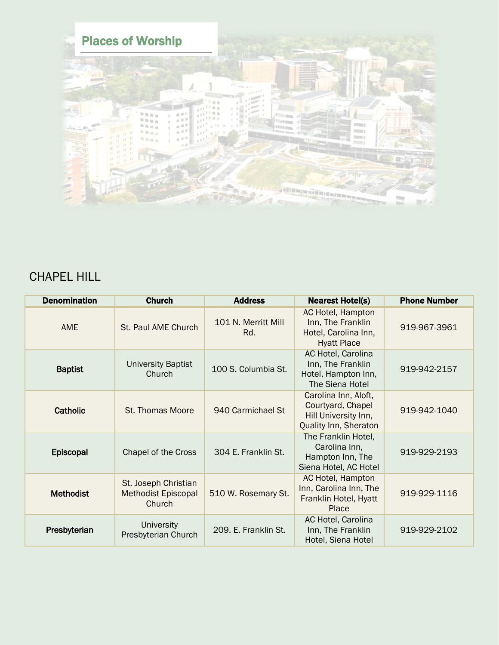

## CHAPEL HILL

| <b>Denomination</b> | <b>Church</b>                                                | <b>Address</b>             | <b>Nearest Hotel(s)</b>                                                                           | <b>Phone Number</b> |
|---------------------|--------------------------------------------------------------|----------------------------|---------------------------------------------------------------------------------------------------|---------------------|
| <b>AME</b>          | St. Paul AME Church                                          | 101 N. Merritt Mill<br>Rd. | AC Hotel, Hampton<br>Inn, The Franklin<br>Hotel, Carolina Inn,<br><b>Hyatt Place</b>              | 919-967-3961        |
| <b>Baptist</b>      | <b>University Baptist</b><br>Church                          | 100 S. Columbia St.        | AC Hotel, Carolina<br>Inn, The Franklin<br>Hotel, Hampton Inn,<br>The Siena Hotel                 | 919-942-2157        |
| Catholic            | St. Thomas Moore                                             | 940 Carmichael St          | Carolina Inn, Aloft,<br>Courtyard, Chapel<br>Hill University Inn,<br><b>Quality Inn, Sheraton</b> | 919-942-1040        |
| Episcopal           | Chapel of the Cross                                          | 304 E. Franklin St.        | The Franklin Hotel,<br>Carolina Inn,<br>Hampton Inn, The<br>Siena Hotel, AC Hotel                 | 919-929-2193        |
| <b>Methodist</b>    | St. Joseph Christian<br><b>Methodist Episcopal</b><br>Church | 510 W. Rosemary St.        | AC Hotel, Hampton<br>Inn, Carolina Inn, The<br>Franklin Hotel, Hyatt<br>Place                     | 919-929-1116        |
| Presbyterian        | <b>University</b><br>Presbyterian Church                     | 209. E. Franklin St.       | AC Hotel, Carolina<br>Inn, The Franklin<br>Hotel, Siena Hotel                                     | 919-929-2102        |